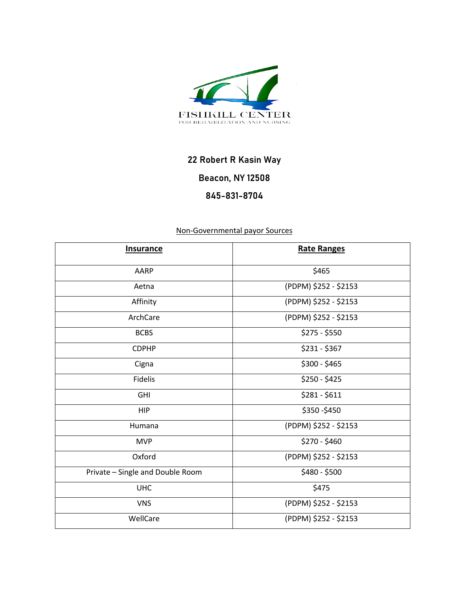

### **22 Robert R Kasin Way**

## **Beacon, NY 12508**

#### **845-831-8704**

#### Non-Governmental payor Sources

| <b>Insurance</b>                 | <b>Rate Ranges</b>    |
|----------------------------------|-----------------------|
| AARP                             | \$465                 |
| Aetna                            | (PDPM) \$252 - \$2153 |
| Affinity                         | (PDPM) \$252 - \$2153 |
| ArchCare                         | (PDPM) \$252 - \$2153 |
| <b>BCBS</b>                      | $$275 - $550$         |
| <b>CDPHP</b>                     | $$231 - $367$         |
| Cigna                            | $$300 - $465$         |
| Fidelis                          | $$250 - $425$         |
| <b>GHI</b>                       | $$281 - $611$         |
| <b>HIP</b>                       | \$350-\$450           |
| Humana                           | (PDPM) \$252 - \$2153 |
| <b>MVP</b>                       | $$270 - $460$         |
| Oxford                           | (PDPM) \$252 - \$2153 |
| Private - Single and Double Room | \$480 - \$500         |
| <b>UHC</b>                       | \$475                 |
| <b>VNS</b>                       | (PDPM) \$252 - \$2153 |
| WellCare                         | (PDPM) \$252 - \$2153 |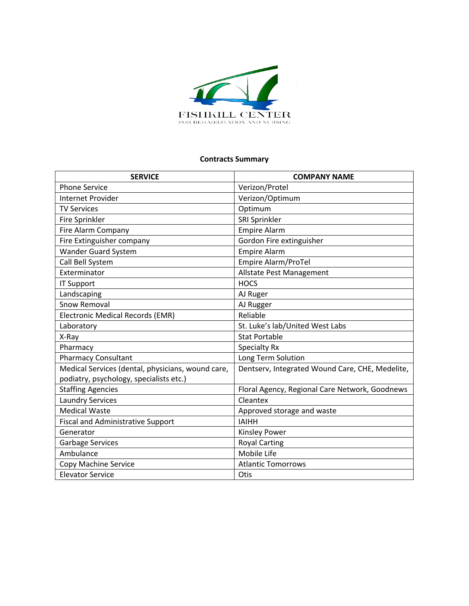

#### **Contracts Summary**

| <b>SERVICE</b>                                    | <b>COMPANY NAME</b>                             |
|---------------------------------------------------|-------------------------------------------------|
| <b>Phone Service</b>                              | Verizon/Protel                                  |
| Internet Provider                                 | Verizon/Optimum                                 |
| <b>TV Services</b>                                | Optimum                                         |
| Fire Sprinkler                                    | SRI Sprinkler                                   |
| Fire Alarm Company                                | <b>Empire Alarm</b>                             |
| Fire Extinguisher company                         | Gordon Fire extinguisher                        |
| <b>Wander Guard System</b>                        | <b>Empire Alarm</b>                             |
| Call Bell System                                  | Empire Alarm/ProTel                             |
| Exterminator                                      | Allstate Pest Management                        |
| <b>IT Support</b>                                 | <b>HOCS</b>                                     |
| Landscaping                                       | AJ Ruger                                        |
| <b>Snow Removal</b>                               | AJ Rugger                                       |
| <b>Electronic Medical Records (EMR)</b>           | Reliable                                        |
| Laboratory                                        | St. Luke's lab/United West Labs                 |
| X-Ray                                             | <b>Stat Portable</b>                            |
| Pharmacy                                          | <b>Specialty Rx</b>                             |
| <b>Pharmacy Consultant</b>                        | Long Term Solution                              |
| Medical Services (dental, physicians, wound care, | Dentserv, Integrated Wound Care, CHE, Medelite, |
| podiatry, psychology, specialists etc.)           |                                                 |
| <b>Staffing Agencies</b>                          | Floral Agency, Regional Care Network, Goodnews  |
| <b>Laundry Services</b>                           | Cleantex                                        |
| <b>Medical Waste</b>                              | Approved storage and waste                      |
| <b>Fiscal and Administrative Support</b>          | <b>IAIHH</b>                                    |
| Generator                                         | <b>Kinsley Power</b>                            |
| <b>Garbage Services</b>                           | <b>Royal Carting</b>                            |
| Ambulance                                         | Mobile Life                                     |
| Copy Machine Service                              | <b>Atlantic Tomorrows</b>                       |
| <b>Elevator Service</b>                           | Otis                                            |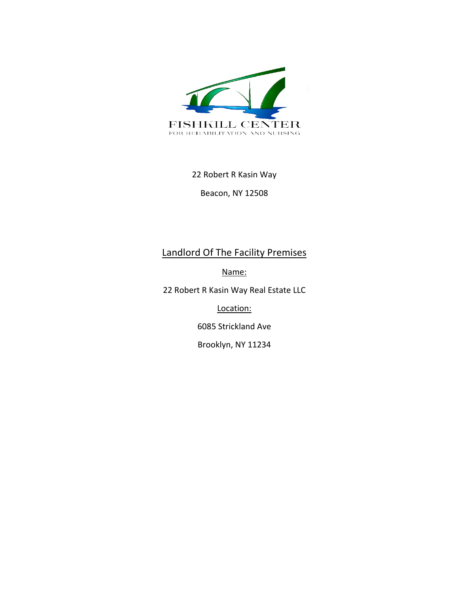

#### 22 Robert R Kasin Way

Beacon, NY 12508

# Landlord Of The Facility Premises

Name:

22 Robert R Kasin Way Real Estate LLC

Location:

6085 Strickland Ave

Brooklyn, NY 11234